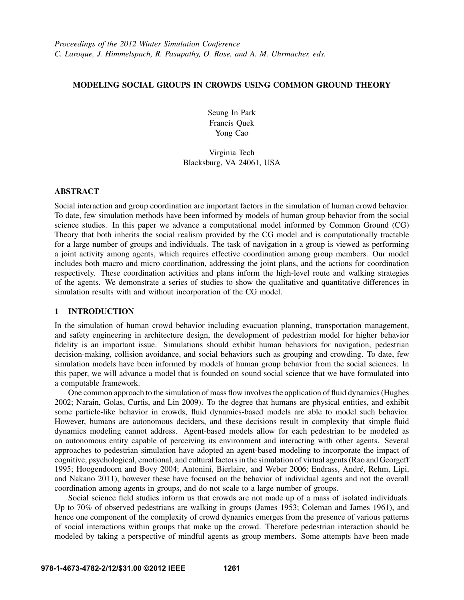# MODELING SOCIAL GROUPS IN CROWDS USING COMMON GROUND THEORY

Seung In Park Francis Quek Yong Cao

# Virginia Tech Blacksburg, VA 24061, USA

# ABSTRACT

Social interaction and group coordination are important factors in the simulation of human crowd behavior. To date, few simulation methods have been informed by models of human group behavior from the social science studies. In this paper we advance a computational model informed by Common Ground (CG) Theory that both inherits the social realism provided by the CG model and is computationally tractable for a large number of groups and individuals. The task of navigation in a group is viewed as performing a joint activity among agents, which requires effective coordination among group members. Our model includes both macro and micro coordination, addressing the joint plans, and the actions for coordination respectively. These coordination activities and plans inform the high-level route and walking strategies of the agents. We demonstrate a series of studies to show the qualitative and quantitative differences in simulation results with and without incorporation of the CG model.

## 1 INTRODUCTION

In the simulation of human crowd behavior including evacuation planning, transportation management, and safety engineering in architecture design, the development of pedestrian model for higher behavior fidelity is an important issue. Simulations should exhibit human behaviors for navigation, pedestrian decision-making, collision avoidance, and social behaviors such as grouping and crowding. To date, few simulation models have been informed by models of human group behavior from the social sciences. In this paper, we will advance a model that is founded on sound social science that we have formulated into a computable framework.

One common approach to the simulation of mass flow involves the application of fluid dynamics (Hughes 2002; Narain, Golas, Curtis, and Lin 2009). To the degree that humans are physical entities, and exhibit some particle-like behavior in crowds, fluid dynamics-based models are able to model such behavior. However, humans are autonomous deciders, and these decisions result in complexity that simple fluid dynamics modeling cannot address. Agent-based models allow for each pedestrian to be modeled as an autonomous entity capable of perceiving its environment and interacting with other agents. Several approaches to pedestrian simulation have adopted an agent-based modeling to incorporate the impact of cognitive, psychological, emotional, and cultural factors in the simulation of virtual agents (Rao and Georgeff 1995; Hoogendoorn and Bovy 2004; Antonini, Bierlaire, and Weber 2006; Endrass, Andre, Rehm, Lipi, ´ and Nakano 2011), however these have focused on the behavior of individual agents and not the overall coordination among agents in groups, and do not scale to a large number of groups.

Social science field studies inform us that crowds are not made up of a mass of isolated individuals. Up to 70% of observed pedestrians are walking in groups (James 1953; Coleman and James 1961), and hence one component of the complexity of crowd dynamics emerges from the presence of various patterns of social interactions within groups that make up the crowd. Therefore pedestrian interaction should be modeled by taking a perspective of mindful agents as group members. Some attempts have been made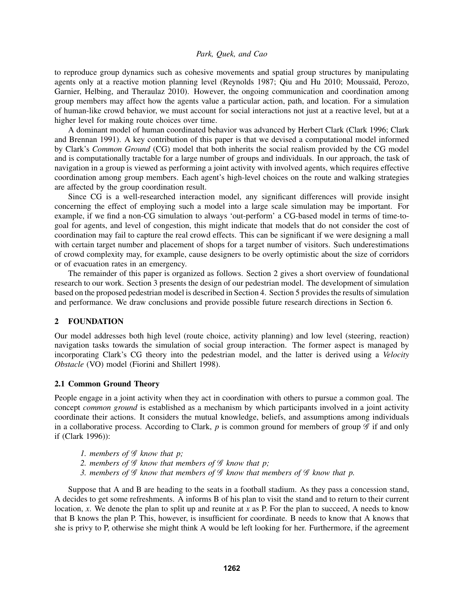to reproduce group dynamics such as cohesive movements and spatial group structures by manipulating agents only at a reactive motion planning level (Reynolds 1987; Qiu and Hu 2010; Moussaïd, Perozo, Garnier, Helbing, and Theraulaz 2010). However, the ongoing communication and coordination among group members may affect how the agents value a particular action, path, and location. For a simulation of human-like crowd behavior, we must account for social interactions not just at a reactive level, but at a higher level for making route choices over time.

A dominant model of human coordinated behavior was advanced by Herbert Clark (Clark 1996; Clark and Brennan 1991). A key contribution of this paper is that we devised a computational model informed by Clark's *Common Ground* (CG) model that both inherits the social realism provided by the CG model and is computationally tractable for a large number of groups and individuals. In our approach, the task of navigation in a group is viewed as performing a joint activity with involved agents, which requires effective coordination among group members. Each agent's high-level choices on the route and walking strategies are affected by the group coordination result.

Since CG is a well-researched interaction model, any significant differences will provide insight concerning the effect of employing such a model into a large scale simulation may be important. For example, if we find a non-CG simulation to always 'out-perform' a CG-based model in terms of time-togoal for agents, and level of congestion, this might indicate that models that do not consider the cost of coordination may fail to capture the real crowd effects. This can be significant if we were designing a mall with certain target number and placement of shops for a target number of visitors. Such underestimations of crowd complexity may, for example, cause designers to be overly optimistic about the size of corridors or of evacuation rates in an emergency.

The remainder of this paper is organized as follows. Section 2 gives a short overview of foundational research to our work. Section 3 presents the design of our pedestrian model. The development of simulation based on the proposed pedestrian model is described in Section 4. Section 5 provides the results of simulation and performance. We draw conclusions and provide possible future research directions in Section 6.

# 2 FOUNDATION

Our model addresses both high level (route choice, activity planning) and low level (steering, reaction) navigation tasks towards the simulation of social group interaction. The former aspect is managed by incorporating Clark's CG theory into the pedestrian model, and the latter is derived using a *Velocity Obstacle* (VO) model (Fiorini and Shillert 1998).

#### 2.1 Common Ground Theory

People engage in a joint activity when they act in coordination with others to pursue a common goal. The concept *common ground* is established as a mechanism by which participants involved in a joint activity coordinate their actions. It considers the mutual knowledge, beliefs, and assumptions among individuals in a collaborative process. According to Clark,  $p$  is common ground for members of group  $\mathscr G$  if and only if (Clark 1996)):

- *1. members of* G *know that p;*
- *2. members of* G *know that members of* G *know that p;*
- *3. members of* G *know that members of* G *know that members of* G *know that p.*

Suppose that A and B are heading to the seats in a football stadium. As they pass a concession stand, A decides to get some refreshments. A informs B of his plan to visit the stand and to return to their current location, *x*. We denote the plan to split up and reunite at *x* as P. For the plan to succeed, A needs to know that B knows the plan P. This, however, is insufficient for coordinate. B needs to know that A knows that she is privy to P, otherwise she might think A would be left looking for her. Furthermore, if the agreement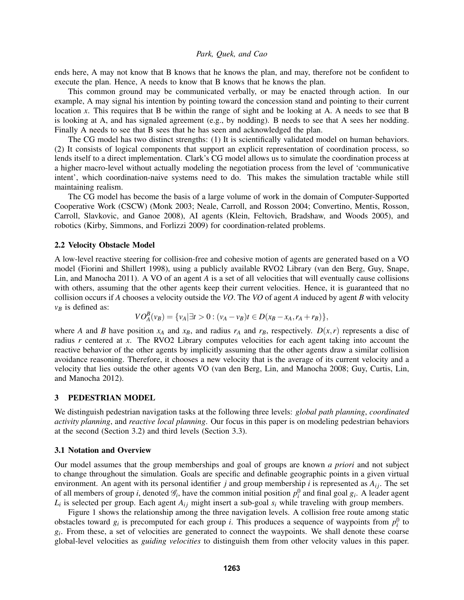ends here, A may not know that B knows that he knows the plan, and may, therefore not be confident to execute the plan. Hence, A needs to know that B knows that he knows the plan.

This common ground may be communicated verbally, or may be enacted through action. In our example, A may signal his intention by pointing toward the concession stand and pointing to their current location *x*. This requires that B be within the range of sight and be looking at A. A needs to see that B is looking at A, and has signaled agreement (e.g., by nodding). B needs to see that A sees her nodding. Finally A needs to see that B sees that he has seen and acknowledged the plan.

The CG model has two distinct strengths: (1) It is scientifically validated model on human behaviors. (2) It consists of logical components that support an explicit representation of coordination process, so lends itself to a direct implementation. Clark's CG model allows us to simulate the coordination process at a higher macro-level without actually modeling the negotiation process from the level of 'communicative intent', which coordination-naive systems need to do. This makes the simulation tractable while still maintaining realism.

The CG model has become the basis of a large volume of work in the domain of Computer-Supported Cooperative Work (CSCW) (Monk 2003; Neale, Carroll, and Rosson 2004; Convertino, Mentis, Rosson, Carroll, Slavkovic, and Ganoe 2008), AI agents (Klein, Feltovich, Bradshaw, and Woods 2005), and robotics (Kirby, Simmons, and Forlizzi 2009) for coordination-related problems.

#### 2.2 Velocity Obstacle Model

A low-level reactive steering for collision-free and cohesive motion of agents are generated based on a VO model (Fiorini and Shillert 1998), using a publicly available RVO2 Library (van den Berg, Guy, Snape, Lin, and Manocha 2011). A VO of an agent *A* is a set of all velocities that will eventually cause collisions with others, assuming that the other agents keep their current velocities. Hence, it is guaranteed that no collision occurs if *A* chooses a velocity outside the *VO*. The *VO* of agent *A* induced by agent *B* with velocity  $v_B$  is defined as:

$$
VO_{A}^{B}(\nu_{B}) = \{ \nu_{A} | \exists t > 0 : (\nu_{A} - \nu_{B})t \in D(x_{B} - x_{A}, r_{A} + r_{B}) \},
$$

where *A* and *B* have position  $x_A$  and  $x_B$ , and radius  $r_A$  and  $r_B$ , respectively.  $D(x, r)$  represents a disc of radius *r* centered at *x*. The RVO2 Library computes velocities for each agent taking into account the reactive behavior of the other agents by implicitly assuming that the other agents draw a similar collision avoidance reasoning. Therefore, it chooses a new velocity that is the average of its current velocity and a velocity that lies outside the other agents VO (van den Berg, Lin, and Manocha 2008; Guy, Curtis, Lin, and Manocha 2012).

#### 3 PEDESTRIAN MODEL

We distinguish pedestrian navigation tasks at the following three levels: *global path planning*, *coordinated activity planning*, and *reactive local planning*. Our focus in this paper is on modeling pedestrian behaviors at the second (Section 3.2) and third levels (Section 3.3).

#### 3.1 Notation and Overview

Our model assumes that the group memberships and goal of groups are known *a priori* and not subject to change throughout the simulation. Goals are specific and definable geographic points in a given virtual environment. An agent with its personal identifier *j* and group membership *i* is represented as  $A_{ij}$ . The set of all members of group *i*, denoted  $\mathcal{G}_i$ , have the common initial position  $p_i^0$  and final goal  $g_i$ . A leader agent  $L_i$  is selected per group. Each agent  $A_{ij}$  might insert a sub-goal  $s_i$  while traveling with group members.

Figure 1 shows the relationship among the three navigation levels. A collision free route among static obstacles toward  $g_i$  is precomputed for each group *i*. This produces a sequence of waypoints from  $p_i^0$  to  $g_i$ . From these, a set of velocities are generated to connect the waypoints. We shall denote these coarse global-level velocities as *guiding velocities* to distinguish them from other velocity values in this paper.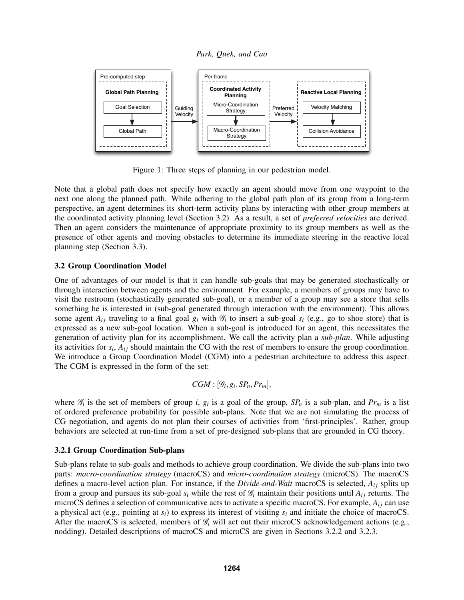*Park, Quek, and Cao*



Figure 1: Three steps of planning in our pedestrian model.

Note that a global path does not specify how exactly an agent should move from one waypoint to the next one along the planned path. While adhering to the global path plan of its group from a long-term perspective, an agent determines its short-term activity plans by interacting with other group members at the coordinated activity planning level (Section 3.2). As a result, a set of *preferred velocities* are derived. Then an agent considers the maintenance of appropriate proximity to its group members as well as the presence of other agents and moving obstacles to determine its immediate steering in the reactive local planning step (Section 3.3).

# 3.2 Group Coordination Model

One of advantages of our model is that it can handle sub-goals that may be generated stochastically or through interaction between agents and the environment. For example, a members of groups may have to visit the restroom (stochastically generated sub-goal), or a member of a group may see a store that sells something he is interested in (sub-goal generated through interaction with the environment). This allows some agent  $A_{ij}$  traveling to a final goal  $g_i$  with  $\mathcal{G}_i$  to insert a sub-goal  $s_i$  (e.g., go to shoe store) that is expressed as a new sub-goal location. When a sub-goal is introduced for an agent, this necessitates the generation of activity plan for its accomplishment. We call the activity plan a *sub-plan*. While adjusting its activities for  $s_i$ ,  $A_{ij}$  should maintain the CG with the rest of members to ensure the group coordination. We introduce a Group Coordination Model (CGM) into a pedestrian architecture to address this aspect. The CGM is expressed in the form of the set:

$$
CGM : [\mathcal{G}_i, g_i, SP_n, Pr_m],
$$

where  $\mathcal{G}_i$  is the set of members of group *i*,  $g_i$  is a goal of the group,  $SP_n$  is a sub-plan, and  $Pr_m$  is a list of ordered preference probability for possible sub-plans. Note that we are not simulating the process of CG negotiation, and agents do not plan their courses of activities from 'first-principles'. Rather, group behaviors are selected at run-time from a set of pre-designed sub-plans that are grounded in CG theory.

# 3.2.1 Group Coordination Sub-plans

Sub-plans relate to sub-goals and methods to achieve group coordination. We divide the sub-plans into two parts: *macro-coordination strategy* (macroCS) and *micro-coordination strategy* (microCS). The macroCS defines a macro-level action plan. For instance, if the *Divide-and-Wait* macroCS is selected, *Ai j* splits up from a group and pursues its sub-goal  $s_i$  while the rest of  $\mathcal{G}_i$  maintain their positions until  $A_{ij}$  returns. The microCS defines a selection of communicative acts to activate a specific macroCS. For example,  $A_{ij}$  can use a physical act (e.g., pointing at *si*) to express its interest of visiting *s<sup>i</sup>* and initiate the choice of macroCS. After the macroCS is selected, members of  $\mathcal{G}_i$  will act out their microCS acknowledgement actions (e.g., nodding). Detailed descriptions of macroCS and microCS are given in Sections 3.2.2 and 3.2.3.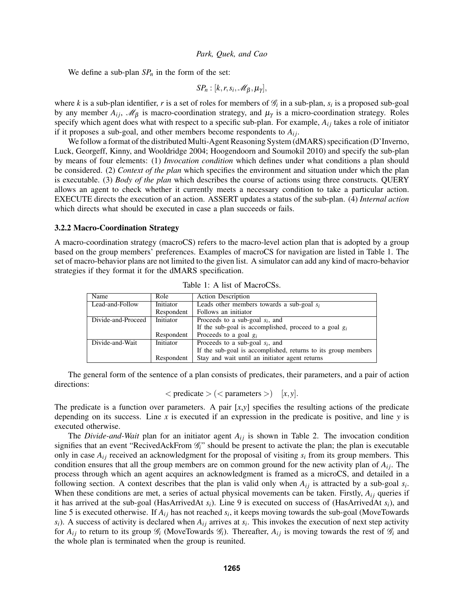We define a sub-plan  $SP<sub>n</sub>$  in the form of the set:

$$
SP_n : [k, r, s_i, \mathscr{M}_{\beta}, \mu_{\gamma}],
$$

where *k* is a sub-plan identifier, *r* is a set of roles for members of  $\mathcal{G}_i$  in a sub-plan,  $s_i$  is a proposed sub-goal by any member  $A_{ij}$ ,  $\mathcal{M}_{\beta}$  is macro-coordination strategy, and  $\mu_{\gamma}$  is a micro-coordination strategy. Roles specify which agent does what with respect to a specific sub-plan. For example,  $A_{ij}$  takes a role of initiator if it proposes a sub-goal, and other members become respondents to *Ai j*.

We follow a format of the distributed Multi-Agent Reasoning System (dMARS) specification (D'Inverno, Luck, Georgeff, Kinny, and Wooldridge 2004; Hoogendoorn and Soumokil 2010) and specify the sub-plan by means of four elements: (1) *Invocation condition* which defines under what conditions a plan should be considered. (2) *Context of the plan* which specifies the environment and situation under which the plan is executable. (3) *Body of the plan* which describes the course of actions using three constructs. QUERY allows an agent to check whether it currently meets a necessary condition to take a particular action. EXECUTE directs the execution of an action. ASSERT updates a status of the sub-plan. (4) *Internal action* which directs what should be executed in case a plan succeeds or fails.

#### 3.2.2 Macro-Coordination Strategy

A macro-coordination strategy (macroCS) refers to the macro-level action plan that is adopted by a group based on the group members' preferences. Examples of macroCS for navigation are listed in Table 1. The set of macro-behavior plans are not limited to the given list. A simulator can add any kind of macro-behavior strategies if they format it for the dMARS specification.

| Name               | Role       | <b>Action Description</b>                                     |  |
|--------------------|------------|---------------------------------------------------------------|--|
| Lead-and-Follow    | Initiator  | Leads other members towards a sub-goal $s_i$                  |  |
|                    | Respondent | Follows an initiator                                          |  |
| Divide-and-Proceed | Initiator  | Proceeds to a sub-goal $s_i$ , and                            |  |
|                    |            | If the sub-goal is accomplished, proceed to a goal $g_i$      |  |
|                    | Respondent | Proceeds to a goal $g_i$                                      |  |
| Divide-and-Wait    | Initiator  | Proceeds to a sub-goal $s_i$ , and                            |  |
|                    |            | If the sub-goal is accomplished, returns to its group members |  |
|                    | Respondent | Stay and wait until an initiator agent returns                |  |

Table 1: A list of MacroCSs.

The general form of the sentence of a plan consists of predicates, their parameters, and a pair of action directions:

 $\langle$  predicate  $\rangle$  ( $\langle$  parameters  $\rangle$ ) [*x*, *y*].

The predicate is a function over parameters. A pair [*x*,*y*] specifies the resulting actions of the predicate depending on its success. Line *x* is executed if an expression in the predicate is positive, and line *y* is executed otherwise.

The *Divide-and-Wait* plan for an initiator agent  $A_{ij}$  is shown in Table 2. The invocation condition signifies that an event "RecivedAckFrom  $\mathcal{G}_i$ " should be present to activate the plan; the plan is executable only in case  $A_{ij}$  received an acknowledgment for the proposal of visiting  $s_i$  from its group members. This condition ensures that all the group members are on common ground for the new activity plan of  $A_{ij}$ . The process through which an agent acquires an acknowledgment is framed as a microCS, and detailed in a following section. A context describes that the plan is valid only when  $A_{ij}$  is attracted by a sub-goal  $s_i$ . When these conditions are met, a series of actual physical movements can be taken. Firstly,  $A_{ij}$  queries if it has arrived at the sub-goal (HasArrivedAt *si*). Line 9 is executed on success of (HasArrivedAt *si*), and line 5 is executed otherwise. If  $A_{ij}$  has not reached  $s_i$ , it keeps moving towards the sub-goal (MoveTowards  $s_i$ ). A success of activity is declared when  $A_{ij}$  arrives at  $s_i$ . This invokes the execution of next step activity for  $A_{ij}$  to return to its group  $\mathcal{G}_i$  (MoveTowards  $\mathcal{G}_i$ ). Thereafter,  $A_{ij}$  is moving towards the rest of  $\mathcal{G}_i$  and the whole plan is terminated when the group is reunited.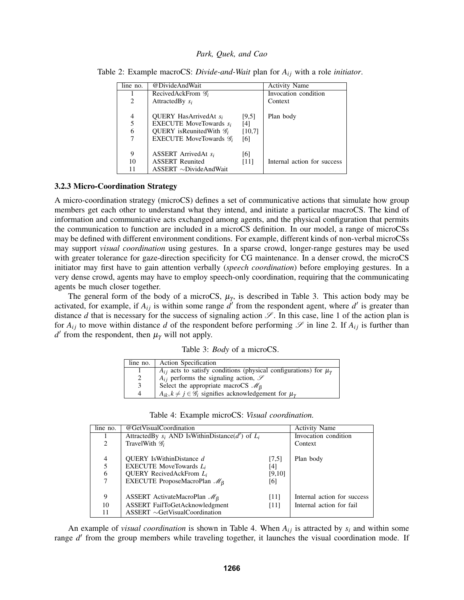| line no. | @DivideAndWait                           | <b>Activity Name</b> |                             |
|----------|------------------------------------------|----------------------|-----------------------------|
|          | RecivedAckFrom $\mathscr{G}_i$           |                      | Invocation condition        |
| 2        | Attracted By $s_i$                       | Context              |                             |
|          |                                          |                      |                             |
| 4        | <b>OUERY</b> HasArrivedAt s <sub>i</sub> | [9,5]                | Plan body                   |
| 5        | <b>EXECUTE MoveTowards si</b>            | [4]                  |                             |
| 6        | OUERY is Reunited With $\mathscr{G}_i$   | [10,7]               |                             |
| 7        | EXECUTE MoveTowards $\mathscr{G}_i$      | [6]                  |                             |
|          |                                          |                      |                             |
| 9        | ASSERT ArrivedAt $s_i$                   | [6]                  |                             |
| 10       | <b>ASSERT</b> Reunited                   | [11]                 | Internal action for success |
| 11       | $ASSERT \sim DivideAndWait$              |                      |                             |

Table 2: Example macroCS: *Divide-and-Wait* plan for  $A_{ij}$  with a role *initiator*.

#### 3.2.3 Micro-Coordination Strategy

A micro-coordination strategy (microCS) defines a set of communicative actions that simulate how group members get each other to understand what they intend, and initiate a particular macroCS. The kind of information and communicative acts exchanged among agents, and the physical configuration that permits the communication to function are included in a microCS definition. In our model, a range of microCSs may be defined with different environment conditions. For example, different kinds of non-verbal microCSs may support *visual coordination* using gestures. In a sparse crowd, longer-range gestures may be used with greater tolerance for gaze-direction specificity for CG maintenance. In a denser crowd, the microCS initiator may first have to gain attention verbally (*speech coordination*) before employing gestures. In a very dense crowd, agents may have to employ speech-only coordination, requiring that the communicating agents be much closer together.

The general form of the body of a microCS,  $\mu_{\gamma}$ , is described in Table 3. This action body may be activated, for example, if  $A_{ij}$  is within some range  $d'$  from the respondent agent, where  $d'$  is greater than distance *d* that is necessary for the success of signaling action  $\mathscr{S}$ . In this case, line 1 of the action plan is for  $A_{ij}$  to move within distance *d* of the respondent before performing  $\mathscr S$  in line 2. If  $A_{ij}$  is further than  $d'$  from the respondent, then  $\mu_{\gamma}$  will not apply.

Table 3: *Body* of a microCS.

| line no.       | <b>Action Specification</b>                                                       |
|----------------|-----------------------------------------------------------------------------------|
|                | $A_{ij}$ acts to satisfy conditions (physical configurations) for $\mu_{\gamma}$  |
| 2              | $A_{ij}$ performs the signaling action, $\mathscr S$                              |
| $\overline{3}$ | Select the appropriate macroCS $\mathcal{M}_{\beta}$                              |
| 4              | $A_{ik}, k \neq j \in \mathscr{G}_i$ signifies acknowledgement for $\mu_{\gamma}$ |

| Select the appropriate macroCS $\mathcal{M}_{\beta}$                              |  |
|-----------------------------------------------------------------------------------|--|
| $A_{ik}, k \neq j \in \mathscr{G}_i$ signifies acknowledgement for $\mu_{\gamma}$ |  |
|                                                                                   |  |

Table 4: Example microCS: *Visual coordination.*

| line no. | @GetVisualCoordination                                  |                      | <b>Activity Name</b>        |
|----------|---------------------------------------------------------|----------------------|-----------------------------|
|          | Attracted By $s_i$ AND Is Within Distance (d') of $L_i$ | Invocation condition |                             |
| 2        | TravelWith $\mathscr{G}_i$                              | Context              |                             |
|          |                                                         |                      |                             |
| 4        | QUERY Is Within Distance d                              | [7,5]                | Plan body                   |
| 5        | EXECUTE MoveTowards $L_i$                               | [4]                  |                             |
| 6        | QUERY RecivedAckFrom $L_i$                              | [9,10]               |                             |
| 7        | EXECUTE ProposeMacroPlan $\mathcal{M}_{\beta}$          | [6]                  |                             |
|          |                                                         |                      |                             |
| 9        | ASSERT ActivateMacroPlan $\mathcal{M}_{\beta}$          | [11]                 | Internal action for success |
| 10       | ASSERT FailToGetAcknowledgment                          | [11]                 | Internal action for fail    |
| 11       | $ASSERT \sim GetVisualCoordinate$                       |                      |                             |

An example of *visual coordination* is shown in Table 4. When  $A_{ij}$  is attracted by  $s_i$  and within some range d' from the group members while traveling together, it launches the visual coordination mode. If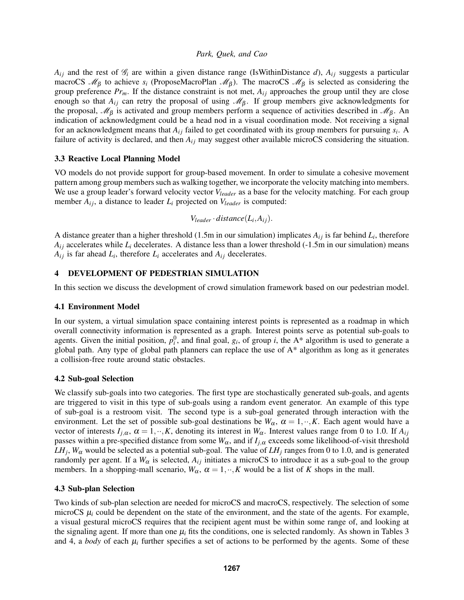$A_{ij}$  and the rest of  $\mathcal{G}_i$  are within a given distance range (IsWithinDistance *d*),  $A_{ij}$  suggests a particular macroCS  $\mathcal{M}_{\beta}$  to achieve  $s_i$  (ProposeMacroPlan  $\mathcal{M}_{\beta}$ ). The macroCS  $\mathcal{M}_{\beta}$  is selected as considering the group preference  $Pr_m$ . If the distance constraint is not met,  $A_{ij}$  approaches the group until they are close enough so that  $A_{ij}$  can retry the proposal of using  $\mathcal{M}_{\beta}$ . If group members give acknowledgments for the proposal,  $\mathcal{M}_{\beta}$  is activated and group members perform a sequence of activities described in  $\mathcal{M}_{\beta}$ . An indication of acknowledgment could be a head nod in a visual coordination mode. Not receiving a signal for an acknowledgment means that  $A_{ij}$  failed to get coordinated with its group members for pursuing  $s_i$ . A failure of activity is declared, and then  $A_{ij}$  may suggest other available microCS considering the situation.

## 3.3 Reactive Local Planning Model

VO models do not provide support for group-based movement. In order to simulate a cohesive movement pattern among group members such as walking together, we incorporate the velocity matching into members. We use a group leader's forward velocity vector *Vleader* as a base for the velocity matching. For each group member  $A_{ij}$ , a distance to leader  $L_i$  projected on  $V_{leader}$  is computed:

$$
V_{leader} \cdot distance(L_i, A_{ij}).
$$

A distance greater than a higher threshold (1.5m in our simulation) implicates  $A_{ij}$  is far behind  $L_i$ , therefore  $A_{ij}$  accelerates while  $L_i$  decelerates. A distance less than a lower threshold (-1.5m in our simulation) means  $A_{ij}$  is far ahead  $L_i$ , therefore  $L_i$  accelerates and  $A_{ij}$  decelerates.

# 4 DEVELOPMENT OF PEDESTRIAN SIMULATION

In this section we discuss the development of crowd simulation framework based on our pedestrian model.

## 4.1 Environment Model

In our system, a virtual simulation space containing interest points is represented as a roadmap in which overall connectivity information is represented as a graph. Interest points serve as potential sub-goals to agents. Given the initial position,  $p_i^0$ , and final goal,  $g_i$ , of group *i*, the A\* algorithm is used to generate a global path. Any type of global path planners can replace the use of  $A^*$  algorithm as long as it generates a collision-free route around static obstacles.

## 4.2 Sub-goal Selection

We classify sub-goals into two categories. The first type are stochastically generated sub-goals, and agents are triggered to visit in this type of sub-goals using a random event generator. An example of this type of sub-goal is a restroom visit. The second type is a sub-goal generated through interaction with the environment. Let the set of possible sub-goal destinations be  $W_\alpha$ ,  $\alpha = 1, \cdot \cdot, K$ . Each agent would have a vector of interests  $I_{j,\alpha}$ ,  $\alpha = 1, \dots, K$ , denoting its interest in  $W_{\alpha}$ . Interest values range from 0 to 1.0. If  $A_{ij}$ passes within a pre-specified distance from some  $W_\alpha$ , and if  $I_{i,\alpha}$  exceeds some likelihood-of-visit threshold  $LH_j$ ,  $W_\alpha$  would be selected as a potential sub-goal. The value of  $LH_j$  ranges from 0 to 1.0, and is generated randomly per agent. If a  $W_{\alpha}$  is selected,  $A_{ij}$  initiates a microCS to introduce it as a sub-goal to the group members. In a shopping-mall scenario,  $W_{\alpha}$ ,  $\alpha = 1, \cdot \cdot, K$  would be a list of *K* shops in the mall.

## 4.3 Sub-plan Selection

Two kinds of sub-plan selection are needed for microCS and macroCS, respectively. The selection of some microCS  $\mu_i$  could be dependent on the state of the environment, and the state of the agents. For example, a visual gestural microCS requires that the recipient agent must be within some range of, and looking at the signaling agent. If more than one  $\mu_i$  fits the conditions, one is selected randomly. As shown in Tables 3 and 4, a *body* of each  $\mu_i$  further specifies a set of actions to be performed by the agents. Some of these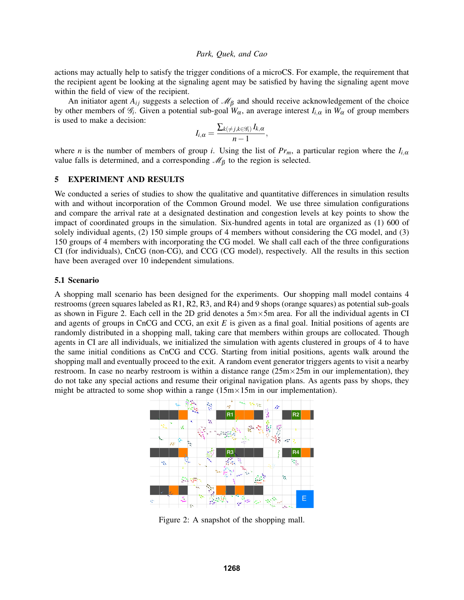actions may actually help to satisfy the trigger conditions of a microCS. For example, the requirement that the recipient agent be looking at the signaling agent may be satisfied by having the signaling agent move within the field of view of the recipient.

An initiator agent  $A_{ij}$  suggests a selection of  $\mathcal{M}_{\beta}$  and should receive acknowledgement of the choice by other members of  $\mathcal{G}_i$ . Given a potential sub-goal  $W_\alpha$ , an average interest  $I_{i,\alpha}$  in  $W_\alpha$  of group members is used to make a decision:

$$
I_{i,\alpha}=\frac{\sum_{k(\neq j,k\in\mathscr{G}_i)}I_{k,\alpha}}{n-1},
$$

where *n* is the number of members of group *i*. Using the list of  $Pr_m$ , a particular region where the  $I_{i,\alpha}$ value falls is determined, and a corresponding  $\mathcal{M}_{\beta}$  to the region is selected.

#### 5 EXPERIMENT AND RESULTS

We conducted a series of studies to show the qualitative and quantitative differences in simulation results with and without incorporation of the Common Ground model. We use three simulation configurations and compare the arrival rate at a designated destination and congestion levels at key points to show the impact of coordinated groups in the simulation. Six-hundred agents in total are organized as (1) 600 of solely individual agents, (2) 150 simple groups of 4 members without considering the CG model, and (3) 150 groups of 4 members with incorporating the CG model. We shall call each of the three configurations CI (for individuals), CnCG (non-CG), and CCG (CG model), respectively. All the results in this section have been averaged over 10 independent simulations.

#### 5.1 Scenario

A shopping mall scenario has been designed for the experiments. Our shopping mall model contains 4 restrooms (green squares labeled as R1, R2, R3, and R4) and 9 shops (orange squares) as potential sub-goals as shown in Figure 2. Each cell in the 2D grid denotes a  $5m \times 5m$  area. For all the individual agents in CI and agents of groups in CnCG and CCG, an exit *E* is given as a final goal. Initial positions of agents are randomly distributed in a shopping mall, taking care that members within groups are collocated. Though agents in CI are all individuals, we initialized the simulation with agents clustered in groups of 4 to have the same initial conditions as CnCG and CCG. Starting from initial positions, agents walk around the shopping mall and eventually proceed to the exit. A random event generator triggers agents to visit a nearby restroom. In case no nearby restroom is within a distance range  $(25m \times 25m)$  in our implementation), they do not take any special actions and resume their original navigation plans. As agents pass by shops, they might be attracted to some shop within a range  $(15 \text{m} \times 15 \text{m})$  in our implementation).



Figure 2: A snapshot of the shopping mall.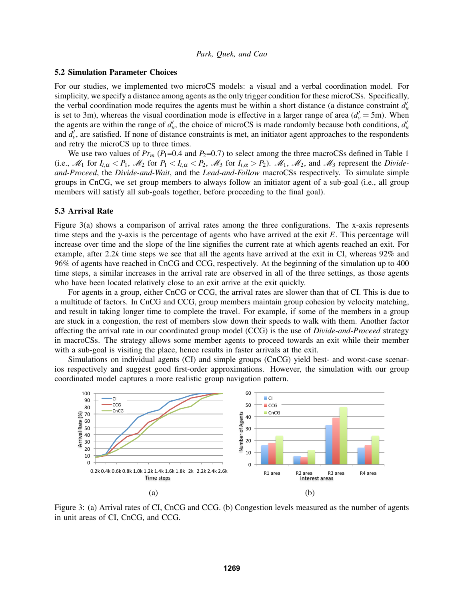#### 5.2 Simulation Parameter Choices

For our studies, we implemented two microCS models: a visual and a verbal coordination model. For simplicity, we specify a distance among agents as the only trigger condition for these microCSs. Specifically, the verbal coordination mode requires the agents must be within a short distance (a distance constraint  $d'_u$ is set to 3m), whereas the visual coordination mode is effective in a larger range of area  $(d_v' = 5m)$ . When the agents are within the range of  $d'_u$ , the choice of microCS is made randomly because both conditions,  $d'_u$ and  $d'_{\nu}$ , are satisfied. If none of distance constraints is met, an initiator agent approaches to the respondents and retry the microCS up to three times.

We use two values of  $Pr_m(P_1=0.4 \text{ and } P_2=0.7)$  to select among the three macroCSs defined in Table 1 (i.e.,  $M_1$  for  $I_{i,\alpha} < P_1$ ,  $M_2$  for  $P_1 < I_{i,\alpha} < P_2$ ,  $M_3$  for  $I_{i,\alpha} > P_2$ ).  $M_1$ ,  $M_2$ , and  $M_3$  represent the *Divideand-Proceed*, the *Divide-and-Wait*, and the *Lead-and-Follow* macroCSs respectively. To simulate simple groups in CnCG, we set group members to always follow an initiator agent of a sub-goal (i.e., all group members will satisfy all sub-goals together, before proceeding to the final goal).

#### 5.3 Arrival Rate

Figure 3(a) shows a comparison of arrival rates among the three configurations. The x-axis represents time steps and the y-axis is the percentage of agents who have arrived at the exit *E*. This percentage will increase over time and the slope of the line signifies the current rate at which agents reached an exit. For example, after 2.2*k* time steps we see that all the agents have arrived at the exit in CI, whereas 92% and 96% of agents have reached in CnCG and CCG, respectively. At the beginning of the simulation up to 400 time steps, a similar increases in the arrival rate are observed in all of the three settings, as those agents who have been located relatively close to an exit arrive at the exit quickly.

For agents in a group, either CnCG or CCG, the arrival rates are slower than that of CI. This is due to a multitude of factors. In CnCG and CCG, group members maintain group cohesion by velocity matching, and result in taking longer time to complete the travel. For example, if some of the members in a group are stuck in a congestion, the rest of members slow down their speeds to walk with them. Another factor affecting the arrival rate in our coordinated group model (CCG) is the use of *Divide-and-Proceed* strategy in macroCSs. The strategy allows some member agents to proceed towards an exit while their member with a sub-goal is visiting the place, hence results in faster arrivals at the exit.

Simulations on individual agents (CI) and simple groups (CnCG) yield best- and worst-case scenarios respectively and suggest good first-order approximations. However, the simulation with our group coordinated model captures a more realistic group navigation pattern.



Figure 3: (a) Arrival rates of CI, CnCG and CCG. (b) Congestion levels measured as the number of agents in unit areas of CI, CnCG, and CCG.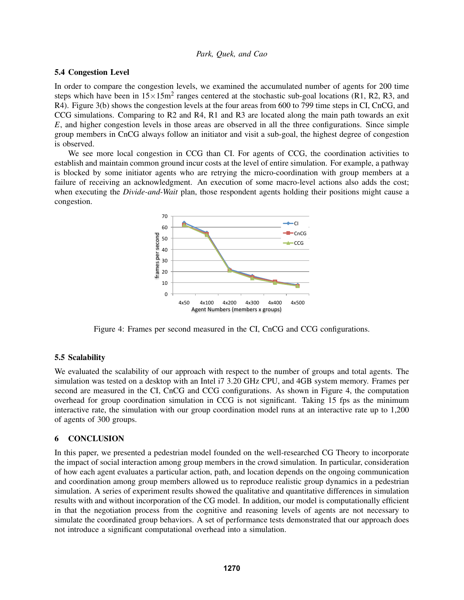#### 5.4 Congestion Level

In order to compare the congestion levels, we examined the accumulated number of agents for 200 time steps which have been in  $15 \times 15$ m<sup>2</sup> ranges centered at the stochastic sub-goal locations (R1, R2, R3, and R4). Figure 3(b) shows the congestion levels at the four areas from 600 to 799 time steps in CI, CnCG, and CCG simulations. Comparing to R2 and R4, R1 and R3 are located along the main path towards an exit *E*, and higher congestion levels in those areas are observed in all the three configurations. Since simple group members in CnCG always follow an initiator and visit a sub-goal, the highest degree of congestion is observed.

We see more local congestion in CCG than CI. For agents of CCG, the coordination activities to establish and maintain common ground incur costs at the level of entire simulation. For example, a pathway is blocked by some initiator agents who are retrying the micro-coordination with group members at a failure of receiving an acknowledgment. An execution of some macro-level actions also adds the cost; when executing the *Divide-and-Wait* plan, those respondent agents holding their positions might cause a congestion.



Figure 4: Frames per second measured in the CI, CnCG and CCG configurations.

## 5.5 Scalability

We evaluated the scalability of our approach with respect to the number of groups and total agents. The simulation was tested on a desktop with an Intel i7 3.20 GHz CPU, and 4GB system memory. Frames per second are measured in the CI, CnCG and CCG configurations. As shown in Figure 4, the computation overhead for group coordination simulation in CCG is not significant. Taking 15 fps as the minimum interactive rate, the simulation with our group coordination model runs at an interactive rate up to 1,200 of agents of 300 groups.

# 6 CONCLUSION

In this paper, we presented a pedestrian model founded on the well-researched CG Theory to incorporate the impact of social interaction among group members in the crowd simulation. In particular, consideration of how each agent evaluates a particular action, path, and location depends on the ongoing communication and coordination among group members allowed us to reproduce realistic group dynamics in a pedestrian simulation. A series of experiment results showed the qualitative and quantitative differences in simulation results with and without incorporation of the CG model. In addition, our model is computationally efficient in that the negotiation process from the cognitive and reasoning levels of agents are not necessary to simulate the coordinated group behaviors. A set of performance tests demonstrated that our approach does not introduce a significant computational overhead into a simulation.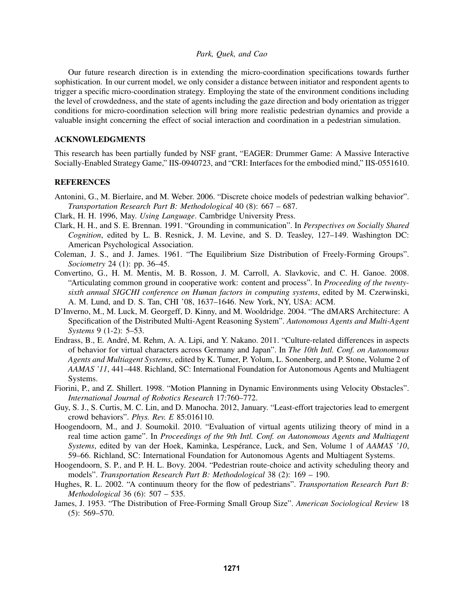Our future research direction is in extending the micro-coordination specifications towards further sophistication. In our current model, we only consider a distance between initiator and respondent agents to trigger a specific micro-coordination strategy. Employing the state of the environment conditions including the level of crowdedness, and the state of agents including the gaze direction and body orientation as trigger conditions for micro-coordination selection will bring more realistic pedestrian dynamics and provide a valuable insight concerning the effect of social interaction and coordination in a pedestrian simulation.

# ACKNOWLEDGMENTS

This research has been partially funded by NSF grant, "EAGER: Drummer Game: A Massive Interactive Socially-Enabled Strategy Game," IIS-0940723, and "CRI: Interfaces for the embodied mind," IIS-0551610.

#### **REFERENCES**

- Antonini, G., M. Bierlaire, and M. Weber. 2006. "Discrete choice models of pedestrian walking behavior". *Transportation Research Part B: Methodological* 40 (8): 667 – 687.
- Clark, H. H. 1996, May. *Using Language*. Cambridge University Press.
- Clark, H. H., and S. E. Brennan. 1991. "Grounding in communication". In *Perspectives on Socially Shared Cognition*, edited by L. B. Resnick, J. M. Levine, and S. D. Teasley, 127–149. Washington DC: American Psychological Association.
- Coleman, J. S., and J. James. 1961. "The Equilibrium Size Distribution of Freely-Forming Groups". *Sociometry* 24 (1): pp. 36–45.
- Convertino, G., H. M. Mentis, M. B. Rosson, J. M. Carroll, A. Slavkovic, and C. H. Ganoe. 2008. "Articulating common ground in cooperative work: content and process". In *Proceeding of the twentysixth annual SIGCHI conference on Human factors in computing systems*, edited by M. Czerwinski, A. M. Lund, and D. S. Tan, CHI '08, 1637–1646. New York, NY, USA: ACM.
- D'Inverno, M., M. Luck, M. Georgeff, D. Kinny, and M. Wooldridge. 2004. "The dMARS Architecture: A Specification of the Distributed Multi-Agent Reasoning System". *Autonomous Agents and Multi-Agent Systems* 9 (1-2): 5–53.
- Endrass, B., E. André, M. Rehm, A. A. Lipi, and Y. Nakano. 2011. "Culture-related differences in aspects of behavior for virtual characters across Germany and Japan". In *The 10th Intl. Conf. on Autonomous Agents and Multiagent Systems*, edited by K. Tumer, P. Yolum, L. Sonenberg, and P. Stone, Volume 2 of *AAMAS '11*, 441–448. Richland, SC: International Foundation for Autonomous Agents and Multiagent Systems.
- Fiorini, P., and Z. Shillert. 1998. "Motion Planning in Dynamic Environments using Velocity Obstacles". *International Journal of Robotics Research* 17:760–772.
- Guy, S. J., S. Curtis, M. C. Lin, and D. Manocha. 2012, January. "Least-effort trajectories lead to emergent crowd behaviors". *Phys. Rev. E* 85:016110.
- Hoogendoorn, M., and J. Soumokil. 2010. "Evaluation of virtual agents utilizing theory of mind in a real time action game". In *Proceedings of the 9th Intl. Conf. on Autonomous Agents and Multiagent Systems*, edited by van der Hoek, Kaminka, Lespérance, Luck, and Sen, Volume 1 of *AAMAS '10*, 59–66. Richland, SC: International Foundation for Autonomous Agents and Multiagent Systems.
- Hoogendoorn, S. P., and P. H. L. Bovy. 2004. "Pedestrian route-choice and activity scheduling theory and models". *Transportation Research Part B: Methodological* 38 (2): 169 – 190.
- Hughes, R. L. 2002. "A continuum theory for the flow of pedestrians". *Transportation Research Part B: Methodological* 36 (6): 507 – 535.
- James, J. 1953. "The Distribution of Free-Forming Small Group Size". *American Sociological Review* 18  $(5): 569 - 570.$